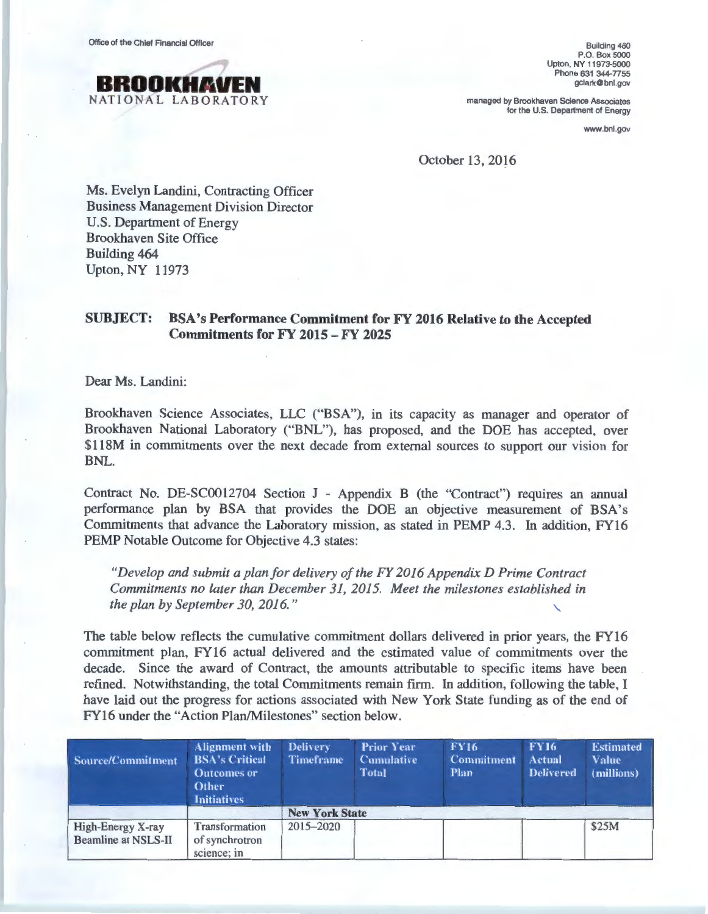Office of the Chief Financial Officer



Building 460 P.O. Box 5000 Upton, NY 11973-5000 Phone 631 344-7755 gclark@bnl.gov

managed by Brookhaven Science Associates for the U.S. Department of Energy

www.bnl.gov

October 13, 2016

Ms. Evelyn Landini, Contracting Officer Business Management Division Director U.S. Department of Energy Brookhaven Site Office Building 464 Upton, NY 11973

## SUBJECT: BSA's Performance Commitment for FY 2016 Relative to the Accepted Commitments for FY 2015 - FY 2025

Dear Ms. Landini:

Brookhaven Science Associates, LLC ("BSA"), in its capacity as manager and operator of Brookhaven National Laboratory ("BNL"), has proposed, and the DOE has accepted, over \$118M in commitments over the next decade from external sources to support our vision for BNL.

Contract No. DE-SC0012704 Section J - Appendix B (the "Contract") requires an annual performance plan by BSA that provides the DOE an objective measurement of BSA's Commitments that advance the Laboratory mission, as stated in PEMP 4.3. In addition, FY16 PEMP Notable Outcome for Objective 4.3 states:

*"Develop and submit a plan for delivery of the FY 2016 Appendix D Prime Contract Commitments no later than December 31, 2015. Meet the milestones established in the plan by September 30, 2016."* 

The table below reflects the cumulative commitment dollars delivered in prior years, the FY16 commitment plan, FY16 actual delivered and the estimated value of commitments over the decade. Since the award of Contract, the amounts attributable to specific items have been refined. Notwithstanding, the total Commitments remain firm. In addition, following the table, I have laid out the progress for actions associated with New York State funding as of the end of FY16 under the "Action Plan/Milestones" section below.

| <b>Source/Commitment</b>                        | <b>Alignment</b> with<br><b>BSA's Critical</b><br><b>Outcomes or</b><br>Other<br><b>Initiatives</b> | <b>Delivery</b><br><b>Timeframe</b> | <b>Prior Year</b><br><b>Cumulative</b><br><b>Total</b> | <b>FY16</b><br><b>Commitment</b><br><b>Plan</b> | <b>FY16</b><br><b>Actual</b><br><b>Delivered</b> | <b>Estimated</b><br><b>Value</b><br>(millions) |  |
|-------------------------------------------------|-----------------------------------------------------------------------------------------------------|-------------------------------------|--------------------------------------------------------|-------------------------------------------------|--------------------------------------------------|------------------------------------------------|--|
|                                                 |                                                                                                     | <b>New York State</b>               |                                                        |                                                 |                                                  |                                                |  |
| High-Energy X-ray<br><b>Beamline at NSLS-II</b> | Transformation<br>of synchrotron<br>science; in                                                     | 2015-2020                           |                                                        |                                                 |                                                  | \$25M                                          |  |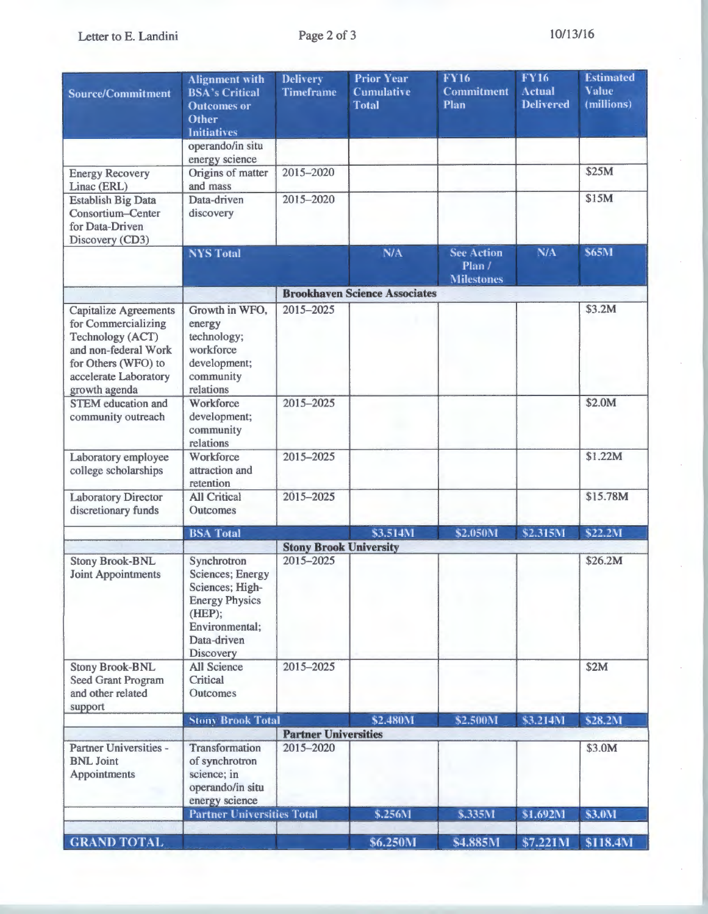Letter to E. Landini

| <b>Source/Commitment</b>                                                                                                         | <b>Alignment</b> with<br><b>BSA's Critical</b><br><b>Outcomes or</b><br>Other<br><b>Initiatives</b>                                         | <b>Delivery</b><br><b>Timeframe</b> | <b>Prior Year</b><br><b>Cumulative</b><br><b>Total</b> | <b>FY16</b><br>Commitment<br>Plan                | <b>FY16</b><br><b>Actual</b><br><b>Delivered</b> | <b>Estimated</b><br><b>Value</b><br>(millions) |
|----------------------------------------------------------------------------------------------------------------------------------|---------------------------------------------------------------------------------------------------------------------------------------------|-------------------------------------|--------------------------------------------------------|--------------------------------------------------|--------------------------------------------------|------------------------------------------------|
|                                                                                                                                  | operando/in situ                                                                                                                            |                                     |                                                        |                                                  |                                                  |                                                |
| <b>Energy Recovery</b><br>Linac (ERL)                                                                                            | energy science<br>Origins of matter<br>and mass                                                                                             | 2015-2020                           |                                                        |                                                  |                                                  | \$25M                                          |
| <b>Establish Big Data</b><br>Consortium-Center<br>for Data-Driven<br>Discovery (CD3)                                             | Data-driven<br>discovery                                                                                                                    | 2015-2020                           |                                                        |                                                  |                                                  | \$15M                                          |
|                                                                                                                                  | <b>NYS Total</b>                                                                                                                            |                                     | N/A                                                    | <b>See Action</b><br>Plan /<br><b>Milestones</b> | N/A                                              | \$65M                                          |
|                                                                                                                                  |                                                                                                                                             |                                     | <b>Brookhaven Science Associates</b>                   |                                                  |                                                  |                                                |
| <b>Capitalize Agreements</b>                                                                                                     | Growth in WFO,                                                                                                                              | 2015-2025                           |                                                        |                                                  |                                                  | \$3.2M                                         |
| for Commercializing<br>Technology (ACT)<br>and non-federal Work<br>for Others (WFO) to<br>accelerate Laboratory<br>growth agenda | energy<br>technology;<br>workforce<br>development;<br>community<br>relations                                                                |                                     |                                                        |                                                  |                                                  |                                                |
| <b>STEM</b> education and<br>community outreach                                                                                  | Workforce<br>development;<br>community<br>relations                                                                                         | 2015-2025                           |                                                        |                                                  |                                                  | \$2.0M                                         |
| Laboratory employee<br>college scholarships                                                                                      | Workforce<br>attraction and<br>retention                                                                                                    | 2015-2025                           |                                                        |                                                  |                                                  | \$1.22M                                        |
| <b>Laboratory Director</b><br>discretionary funds                                                                                | <b>All Critical</b><br>Outcomes                                                                                                             | 2015-2025                           |                                                        |                                                  |                                                  | \$15.78M                                       |
|                                                                                                                                  | <b>BSA</b> Total                                                                                                                            |                                     | \$3.514M                                               | \$2.050M                                         | \$2.315M                                         | \$22.2M                                        |
|                                                                                                                                  |                                                                                                                                             | <b>Stony Brook University</b>       |                                                        |                                                  |                                                  |                                                |
| <b>Stony Brook-BNL</b><br><b>Joint Appointments</b>                                                                              | Synchrotron<br><b>Sciences</b> ; Energy<br>Sciences; High-<br><b>Energy Physics</b><br>(HEP);<br>Environmental;<br>Data-driven<br>Discovery | 2015-2025                           |                                                        |                                                  |                                                  | \$26.2M                                        |
| <b>Stony Brook-BNL</b><br>Seed Grant Program<br>and other related<br>support                                                     | <b>All Science</b><br>Critical<br>Outcomes                                                                                                  | 2015-2025                           |                                                        |                                                  |                                                  | \$2M                                           |
|                                                                                                                                  | <b>Stony Brook Total</b>                                                                                                                    |                                     | \$2.480M                                               | \$2.500M                                         | \$3.214M                                         | \$28.2M                                        |
|                                                                                                                                  |                                                                                                                                             | <b>Partner Universities</b>         |                                                        |                                                  |                                                  |                                                |
| Partner Universities -<br><b>BNL Joint</b><br>Appointments                                                                       | Transformation<br>of synchrotron<br>science; in<br>operando/in situ<br>energy science                                                       | 2015-2020                           |                                                        |                                                  |                                                  | \$3.0M                                         |
|                                                                                                                                  | <b>Partner Universities Total</b>                                                                                                           |                                     | \$.256M                                                | \$.335M                                          | \$1.692M                                         | \$3.0M                                         |
| <b>GRAND TOTAL</b>                                                                                                               |                                                                                                                                             |                                     | \$6.250M                                               | \$4.885M                                         | \$7.221M                                         | \$118.4M                                       |